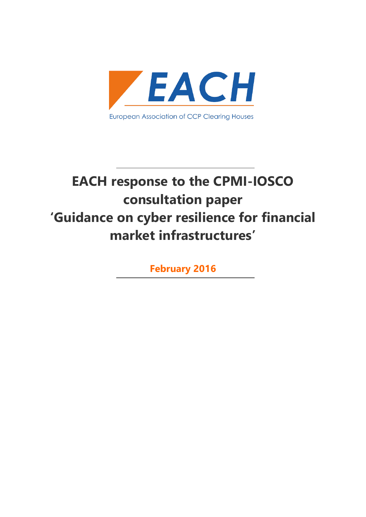

# **EACH response to the CPMI-IOSCO consultation paper 'Guidance on cyber resilience for financial market infrastructures'**

**February 2016**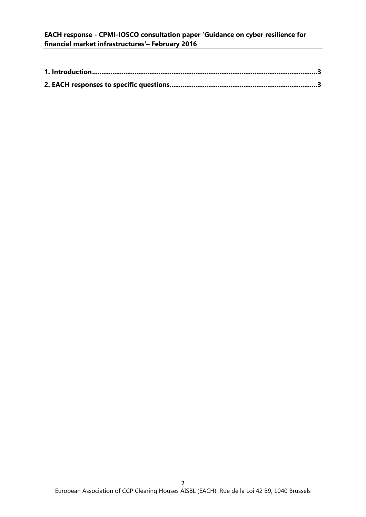# **EACH response - CPMI-IOSCO consultation paper 'Guidance on cyber resilience for financial market infrastructures'– February 2016**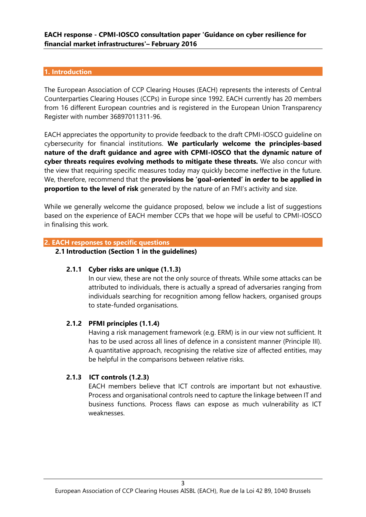## <span id="page-2-0"></span>**1. Introduction**

The European Association of CCP Clearing Houses (EACH) represents the interests of Central Counterparties Clearing Houses (CCPs) in Europe since 1992. EACH currently has 20 members from 16 different European countries and is registered in the European Union Transparency Register with number 36897011311-96.

EACH appreciates the opportunity to provide feedback to the draft CPMI-IOSCO guideline on cybersecurity for financial institutions. **We particularly welcome the principles-based nature of the draft guidance and agree with CPMI-IOSCO that the dynamic nature of cyber threats requires evolving methods to mitigate these threats.** We also concur with the view that requiring specific measures today may quickly become ineffective in the future. We, therefore, recommend that the **provisions be 'goal-oriented' in order to be applied in proportion to the level of risk** generated by the nature of an FMI's activity and size.

While we generally welcome the guidance proposed, below we include a list of suggestions based on the experience of EACH member CCPs that we hope will be useful to CPMI-IOSCO in finalising this work.

# <span id="page-2-1"></span>**2. EACH responses to specific questions**

## **2.1 Introduction (Section 1 in the guidelines)**

#### **2.1.1 Cyber risks are unique (1.1.3)**

In our view, these are not the only source of threats. While some attacks can be attributed to individuals, there is actually a spread of adversaries ranging from individuals searching for recognition among fellow hackers, organised groups to state-funded organisations.

#### **2.1.2 PFMI principles (1.1.4)**

Having a risk management framework (e.g. ERM) is in our view not sufficient. It has to be used across all lines of defence in a consistent manner (Principle III). A quantitative approach, recognising the relative size of affected entities, may be helpful in the comparisons between relative risks.

# **2.1.3 ICT controls (1.2.3)**

EACH members believe that ICT controls are important but not exhaustive. Process and organisational controls need to capture the linkage between IT and business functions. Process flaws can expose as much vulnerability as ICT weaknesses.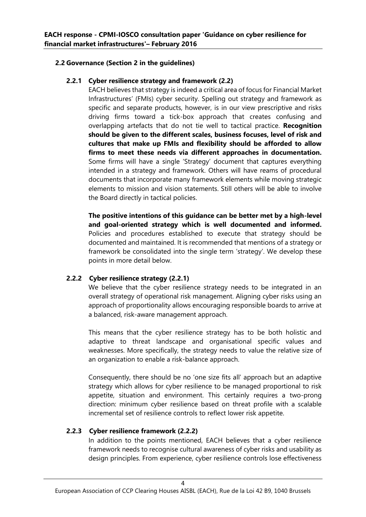# **2.2 Governance (Section 2 in the guidelines)**

# **2.2.1 Cyber resilience strategy and framework (2.2)**

EACH believes that strategy is indeed a critical area of focus for Financial Market Infrastructures' (FMIs) cyber security. Spelling out strategy and framework as specific and separate products, however, is in our view prescriptive and risks driving firms toward a tick-box approach that creates confusing and overlapping artefacts that do not tie well to tactical practice. **Recognition should be given to the different scales, business focuses, level of risk and cultures that make up FMIs and flexibility should be afforded to allow firms to meet these needs via different approaches in documentation.** Some firms will have a single 'Strategy' document that captures everything intended in a strategy and framework. Others will have reams of procedural documents that incorporate many framework elements while moving strategic elements to mission and vision statements. Still others will be able to involve the Board directly in tactical policies.

**The positive intentions of this guidance can be better met by a high-level and goal-oriented strategy which is well documented and informed.**  Policies and procedures established to execute that strategy should be documented and maintained. It is recommended that mentions of a strategy or framework be consolidated into the single term 'strategy'. We develop these points in more detail below.

# **2.2.2 Cyber resilience strategy (2.2.1)**

We believe that the cyber resilience strategy needs to be integrated in an overall strategy of operational risk management. Aligning cyber risks using an approach of proportionality allows encouraging responsible boards to arrive at a balanced, risk-aware management approach.

This means that the cyber resilience strategy has to be both holistic and adaptive to threat landscape and organisational specific values and weaknesses. More specifically, the strategy needs to value the relative size of an organization to enable a risk-balance approach.

Consequently, there should be no 'one size fits all' approach but an adaptive strategy which allows for cyber resilience to be managed proportional to risk appetite, situation and environment. This certainly requires a two-prong direction: minimum cyber resilience based on threat profile with a scalable incremental set of resilience controls to reflect lower risk appetite.

# **2.2.3 Cyber resilience framework (2.2.2)**

In addition to the points mentioned, EACH believes that a cyber resilience framework needs to recognise cultural awareness of cyber risks and usability as design principles. From experience, cyber resilience controls lose effectiveness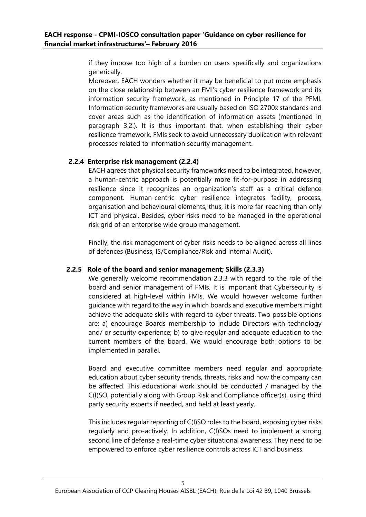if they impose too high of a burden on users specifically and organizations generically.

Moreover, EACH wonders whether it may be beneficial to put more emphasis on the close relationship between an FMI's cyber resilience framework and its information security framework, as mentioned in Principle 17 of the PFMI. Information security frameworks are usually based on ISO 2700x standards and cover areas such as the identification of information assets (mentioned in paragraph 3.2.). It is thus important that, when establishing their cyber resilience framework, FMIs seek to avoid unnecessary duplication with relevant processes related to information security management.

# **2.2.4 Enterprise risk management (2.2.4)**

EACH agrees that physical security frameworks need to be integrated, however, a human-centric approach is potentially more fit-for-purpose in addressing resilience since it recognizes an organization's staff as a critical defence component. Human-centric cyber resilience integrates facility, process, organisation and behavioural elements, thus, it is more far-reaching than only ICT and physical. Besides, cyber risks need to be managed in the operational risk grid of an enterprise wide group management.

Finally, the risk management of cyber risks needs to be aligned across all lines of defences (Business, IS/Compliance/Risk and Internal Audit).

# **2.2.5 Role of the board and senior management; Skills (2.3.3)**

We generally welcome recommendation 2.3.3 with regard to the role of the board and senior management of FMIs. It is important that Cybersecurity is considered at high-level within FMIs. We would however welcome further guidance with regard to the way in which boards and executive members might achieve the adequate skills with regard to cyber threats. Two possible options are: a) encourage Boards membership to include Directors with technology and/ or security experience; b) to give regular and adequate education to the current members of the board. We would encourage both options to be implemented in parallel.

Board and executive committee members need regular and appropriate education about cyber security trends, threats, risks and how the company can be affected. This educational work should be conducted / managed by the C(I)SO, potentially along with Group Risk and Compliance officer(s), using third party security experts if needed, and held at least yearly.

This includes regular reporting of C(I)SO roles to the board, exposing cyber risks regularly and pro-actively. In addition, C(I)SOs need to implement a strong second line of defense a real-time cyber situational awareness. They need to be empowered to enforce cyber resilience controls across ICT and business.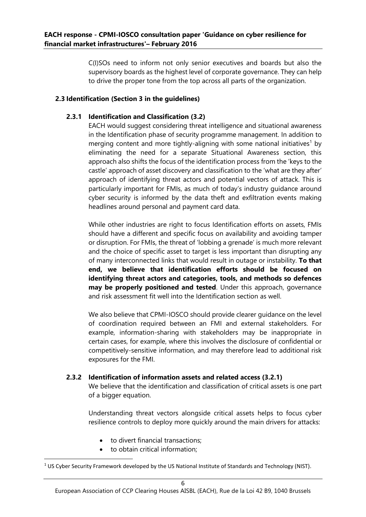C(I)SOs need to inform not only senior executives and boards but also the supervisory boards as the highest level of corporate governance. They can help to drive the proper tone from the top across all parts of the organization.

# **2.3 Identification (Section 3 in the guidelines)**

# **2.3.1 Identification and Classification (3.2)**

EACH would suggest considering threat intelligence and situational awareness in the Identification phase of security programme management. In addition to merging content and more tightly-aligning with some national initiatives<sup>1</sup> by eliminating the need for a separate Situational Awareness section, this approach also shifts the focus of the identification process from the 'keys to the castle' approach of asset discovery and classification to the 'what are they after' approach of identifying threat actors and potential vectors of attack. This is particularly important for FMIs, as much of today's industry guidance around cyber security is informed by the data theft and exfiltration events making headlines around personal and payment card data.

While other industries are right to focus Identification efforts on assets, FMIs should have a different and specific focus on availability and avoiding tamper or disruption. For FMIs, the threat of 'lobbing a grenade' is much more relevant and the choice of specific asset to target is less important than disrupting any of many interconnected links that would result in outage or instability. **To that end, we believe that identification efforts should be focused on identifying threat actors and categories, tools, and methods so defences may be properly positioned and tested**. Under this approach, governance and risk assessment fit well into the Identification section as well.

We also believe that CPMI-IOSCO should provide clearer guidance on the level of coordination required between an FMI and external stakeholders. For example, information-sharing with stakeholders may be inappropriate in certain cases, for example, where this involves the disclosure of confidential or competitively-sensitive information, and may therefore lead to additional risk exposures for the FMI.

# **2.3.2 Identification of information assets and related access (3.2.1)**

We believe that the identification and classification of critical assets is one part of a bigger equation.

Understanding threat vectors alongside critical assets helps to focus cyber resilience controls to deploy more quickly around the main drivers for attacks:

- to divert financial transactions;
- to obtain critical information;

1

<sup>&</sup>lt;sup>1</sup> US Cyber Security Framework developed by the US National Institute of Standards and Technology (NIST).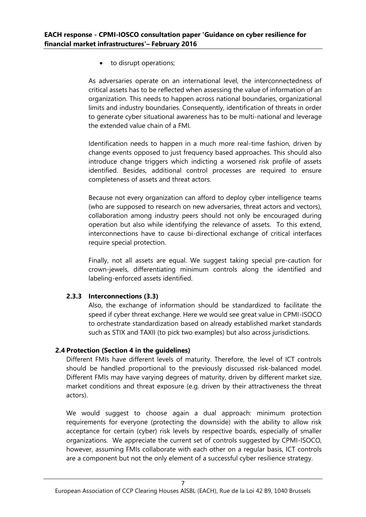• to disrupt operations;

As adversaries operate on an international level, the interconnectedness of critical assets has to be reflected when assessing the value of information of an organization. This needs to happen across national boundaries, organizational limits and industry boundaries. Consequently, identification of threats in order to generate cyber situational awareness has to be multi-national and leverage the extended value chain of a FMI.

Identification needs to happen in a much more real-time fashion, driven by change events opposed to just frequency based approaches. This should also introduce change triggers which indicting a worsened risk profile of assets identified. Besides, additional control processes are required to ensure completeness of assets and threat actors.

Because not every organization can afford to deploy cyber intelligence teams (who are supposed to research on new adversaries, threat actors and vectors), collaboration among industry peers should not only be encouraged during operation but also while identifying the relevance of assets. To this extend, interconnections have to cause bi-directional exchange of critical interfaces require special protection.

Finally, not all assets are equal. We suggest taking special pre-caution for crown-jewels, differentiating minimum controls along the identified and labeling-enforced assets identified.

# **2.3.3 Interconnections (3.3)**

Also, the exchange of information should be standardized to facilitate the speed if cyber threat exchange. Here we would see great value in CPMI-ISOCO to orchestrate standardization based on already established market standards such as STIX and TAXII (to pick two examples) but also across jurisdictions.

# **2.4 Protection (Section 4 in the guidelines)**

Different FMIs have different levels of maturity. Therefore, the level of ICT controls should be handled proportional to the previously discussed risk-balanced model. Different FMIs may have varying degrees of maturity, driven by different market size, market conditions and threat exposure (e.g. driven by their attractiveness the threat actors).

We would suggest to choose again a dual approach: minimum protection requirements for everyone (protecting the downside) with the ability to allow risk acceptance for certain (cyber) risk levels by respective boards, especially of smaller organizations. We appreciate the current set of controls suggested by CPMI-ISOCO, however, assuming FMIs collaborate with each other on a regular basis, ICT controls are a component but not the only element of a successful cyber resilience strategy.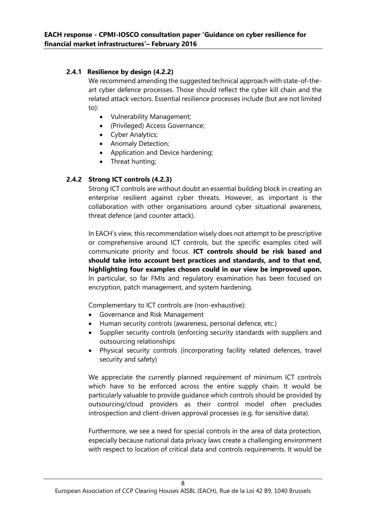# **2.4.1 Resilience by design (4.2.2)**

We recommend amending the suggested technical approach with state-of-theart cyber defence processes. Those should reflect the cyber kill chain and the related attack vectors. Essential resilience processes include (but are not limited to):

- Vulnerability Management;
- (Privileged) Access Governance;
- Cyber Analytics;
- Anomaly Detection;
- Application and Device hardening;
- Threat hunting;

# **2.4.2 Strong ICT controls (4.2.3)**

Strong ICT controls are without doubt an essential building block in creating an enterprise resilient against cyber threats. However, as important is the collaboration with other organisations around cyber situational awareness, threat defence (and counter attack).

In EACH's view, this recommendation wisely does not attempt to be prescriptive or comprehensive around ICT controls, but the specific examples cited will communicate priority and focus. **ICT controls should be risk based and should take into account best practices and standards, and to that end, highlighting four examples chosen could in our view be improved upon.** In particular, so far FMIs and regulatory examination has been focused on encryption, patch management, and system hardening.

Complementary to ICT controls are (non-exhaustive):

- Governance and Risk Management
- Human security controls (awareness, personal defence, etc.)
- Supplier security controls (enforcing security standards with suppliers and outsourcing relationships
- Physical security controls (incorporating facility related defences, travel security and safety)

We appreciate the currently planned requirement of minimum ICT controls which have to be enforced across the entire supply chain. It would be particularly valuable to provide guidance which controls should be provided by outsourcing/cloud providers as their control model often precludes introspection and client-driven approval processes (e.g. for sensitive data).

Furthermore, we see a need for special controls in the area of data protection, especially because national data privacy laws create a challenging environment with respect to location of critical data and controls requirements. It would be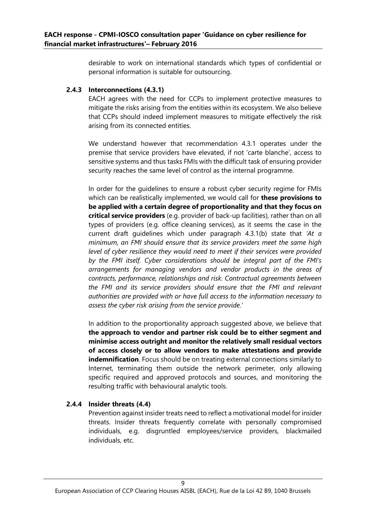desirable to work on international standards which types of confidential or personal information is suitable for outsourcing.

## **2.4.3 Interconnections (4.3.1)**

EACH agrees with the need for CCPs to implement protective measures to mitigate the risks arising from the entities within its ecosystem. We also believe that CCPs should indeed implement measures to mitigate effectively the risk arising from its connected entities.

We understand however that recommendation 4.3.1 operates under the premise that service providers have elevated, if not 'carte blanche', access to sensitive systems and thus tasks FMIs with the difficult task of ensuring provider security reaches the same level of control as the internal programme.

In order for the guidelines to ensure a robust cyber security regime for FMIs which can be realistically implemented, we would call for **these provisions to be applied with a certain degree of proportionality and that they focus on critical service providers** (e.g. provider of back-up facilities), rather than on all types of providers (e.g. office cleaning services), as it seems the case in the current draft guidelines which under paragraph 4.3.1(b) state that *'At a minimum, an FMI should ensure that its service providers meet the same high level of cyber resilience they would need to meet if their services were provided by the FMI itself. Cyber considerations should be integral part of the FMI's arrangements for managing vendors and vendor products in the areas of contracts, performance, relationships and risk. Contractual agreements between the FMI and its service providers should ensure that the FMI and relevant authorities are provided with or have full access to the information necessary to assess the cyber risk arising from the service provide.'*

In addition to the proportionality approach suggested above, we believe that **the approach to vendor and partner risk could be to either segment and minimise access outright and monitor the relatively small residual vectors of access closely or to allow vendors to make attestations and provide indemnification**. Focus should be on treating external connections similarly to Internet, terminating them outside the network perimeter, only allowing specific required and approved protocols and sources, and monitoring the resulting traffic with behavioural analytic tools.

# **2.4.4 Insider threats (4.4)**

Prevention against insider treats need to reflect a motivational model for insider threats. Insider threats frequently correlate with personally compromised individuals, e.g. disgruntled employees/service providers, blackmailed individuals, etc.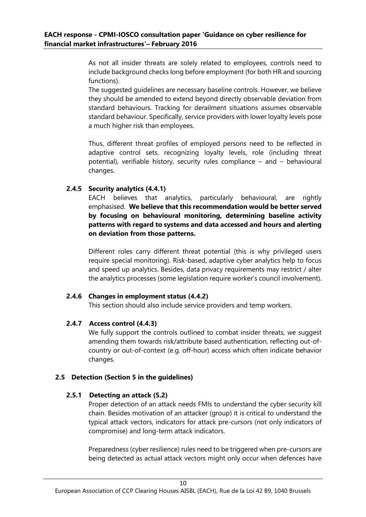As not all insider threats are solely related to employees, controls need to include background checks long before employment (for both HR and sourcing functions).

The suggested guidelines are necessary baseline controls. However, we believe they should be amended to extend beyond directly observable deviation from standard behaviours. Tracking for derailment situations assumes observable standard behaviour. Specifically, service providers with lower loyalty levels pose a much higher risk than employees.

Thus, different threat profiles of employed persons need to be reflected in adaptive control sets, recognizing loyalty levels, role (including threat potential), verifiable history, security rules compliance – and – behavioural changes.

# **2.4.5 Security analytics (4.4.1)**

EACH believes that analytics, particularly behavioural, are rightly emphasised. **We believe that this recommendation would be better served by focusing on behavioural monitoring, determining baseline activity patterns with regard to systems and data accessed and hours and alerting on deviation from those patterns.**

Different roles carry different threat potential (this is why privileged users require special monitoring). Risk-based, adaptive cyber analytics help to focus and speed up analytics. Besides, data privacy requirements may restrict / alter the analytics processes (some legislation require worker's council involvement).

#### **2.4.6 Changes in employment status (4.4.2)**

This section should also include service providers and temp workers.

# **2.4.7 Access control (4.4.3)**

We fully support the controls outlined to combat insider threats, we suggest amending them towards risk/attribute based authentication, reflecting out-ofcountry or out-of-context (e.g. off-hour) access which often indicate behavior changes.

# **2.5 Detection (Section 5 in the guidelines)**

#### **2.5.1 Detecting an attack (5.2)**

Proper detection of an attack needs FMIs to understand the cyber security kill chain. Besides motivation of an attacker (group) it is critical to understand the typical attack vectors, indicators for attack pre-cursors (not only indicators of compromise) and long-term attack indicators.

Preparedness (cyber resilience) rules need to be triggered when pre-cursors are being detected as actual attack vectors might only occur when defences have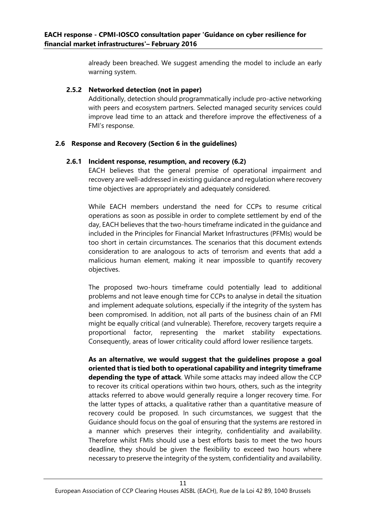already been breached. We suggest amending the model to include an early warning system.

# **2.5.2 Networked detection (not in paper)**

Additionally, detection should programmatically include pro-active networking with peers and ecosystem partners. Selected managed security services could improve lead time to an attack and therefore improve the effectiveness of a FMI's response.

# **2.6 Response and Recovery (Section 6 in the guidelines)**

# **2.6.1 Incident response, resumption, and recovery (6.2)**

EACH believes that the general premise of operational impairment and recovery are well-addressed in existing guidance and regulation where recovery time objectives are appropriately and adequately considered.

While EACH members understand the need for CCPs to resume critical operations as soon as possible in order to complete settlement by end of the day, EACH believes that the two-hours timeframe indicated in the guidance and included in the Principles for Financial Market Infrastructures (PFMIs) would be too short in certain circumstances. The scenarios that this document extends consideration to are analogous to acts of terrorism and events that add a malicious human element, making it near impossible to quantify recovery objectives.

The proposed two-hours timeframe could potentially lead to additional problems and not leave enough time for CCPs to analyse in detail the situation and implement adequate solutions, especially if the integrity of the system has been compromised. In addition, not all parts of the business chain of an FMI might be equally critical (and vulnerable). Therefore, recovery targets require a proportional factor, representing the market stability expectations. Consequently, areas of lower criticality could afford lower resilience targets.

**As an alternative, we would suggest that the guidelines propose a goal oriented that is tied both to operational capability and integrity timeframe depending the type of attack**. While some attacks may indeed allow the CCP to recover its critical operations within two hours, others, such as the integrity attacks referred to above would generally require a longer recovery time. For the latter types of attacks, a qualitative rather than a quantitative measure of recovery could be proposed. In such circumstances, we suggest that the Guidance should focus on the goal of ensuring that the systems are restored in a manner which preserves their integrity, confidentiality and availability. Therefore whilst FMIs should use a best efforts basis to meet the two hours deadline, they should be given the flexibility to exceed two hours where necessary to preserve the integrity of the system, confidentiality and availability.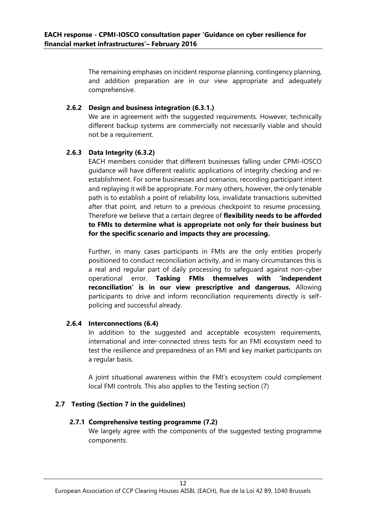The remaining emphases on incident response planning, contingency planning, and addition preparation are in our view appropriate and adequately comprehensive.

#### **2.6.2 Design and business integration (6.3.1.)**

We are in agreement with the suggested requirements. However, technically different backup systems are commercially not necessarily viable and should not be a requirement.

#### **2.6.3 Data Integrity (6.3.2)**

EACH members consider that different businesses falling under CPMI-IOSCO guidance will have different realistic applications of integrity checking and reestablishment. For some businesses and scenarios, recording participant intent and replaying it will be appropriate. For many others, however, the only tenable path is to establish a point of reliability loss, invalidate transactions submitted after that point, and return to a previous checkpoint to resume processing. Therefore we believe that a certain degree of **flexibility needs to be afforded to FMIs to determine what is appropriate not only for their business but for the specific scenario and impacts they are processing.**

Further, in many cases participants in FMIs are the only entities properly positioned to conduct reconciliation activity, and in many circumstances this is a real and regular part of daily processing to safeguard against non-cyber operational error. **Tasking FMIs themselves with 'independent reconciliation' is in our view prescriptive and dangerous.** Allowing participants to drive and inform reconciliation requirements directly is selfpolicing and successful already.

# **2.6.4 Interconnections (6.4)**

In addition to the suggested and acceptable ecosystem requirements, international and inter-connected stress tests for an FMI ecosystem need to test the resilience and preparedness of an FMI and key market participants on a regular basis.

A joint situational awareness within the FMI's ecosystem could complement local FMI controls. This also applies to the Testing section (7)

## **2.7 Testing (Section 7 in the guidelines)**

#### **2.7.1 Comprehensive testing programme (7.2)**

We largely agree with the components of the suggested testing programme components.